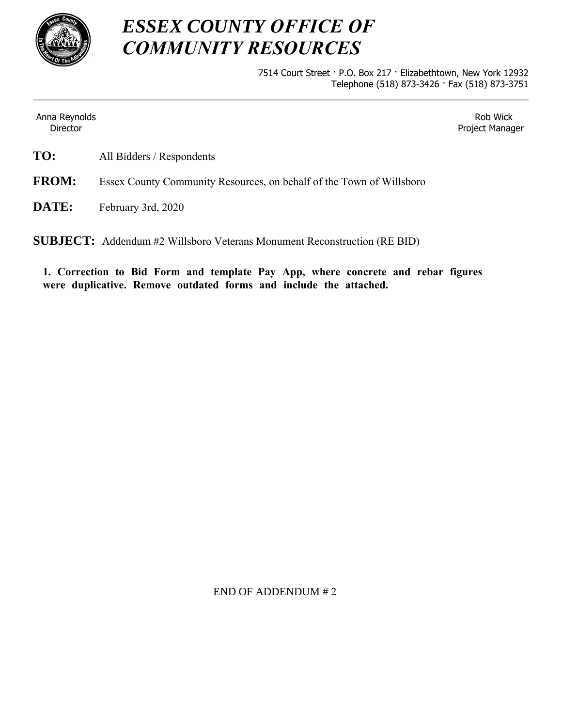

## *ESSEX COUNTY OFFICE OF COMMUNITY RESOURCES*

7514 Court Street · P.O. Box 217 · Elizabethtown, New York 12932 Telephone (518) 873-3426 · Fax (518) 873-3751

Anna Reynolds **Director** 

Rob Wick Project Manager

**TO:** All Bidders / Respondents

**FROM:** Essex County Community Resources, on behalf of the Town of Willsboro

**DATE:** February 3rd, 2020

**SUBJECT:** Addendum #2 Willsboro Veterans Monument Reconstruction (RE BID)

**1. Correction to Bid Form and template Pay App, where concrete and rebar figures were duplicative. Remove outdated forms and include the attached.** 

END OF ADDENDUM # 2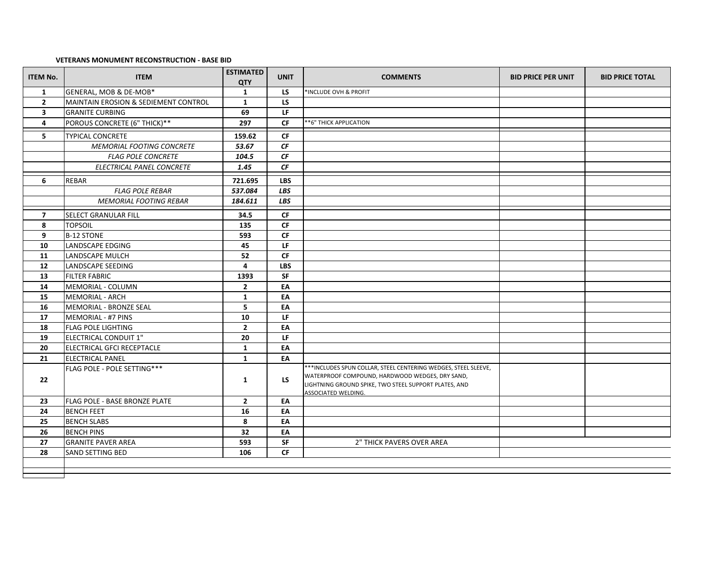## **VETERANS MONUMENT RECONSTRUCTION ‐ BASE BID**

| <b>ITEM No.</b>         | <b>ITEM</b>                          | <b>ESTIMATED</b><br>QTY | <b>UNIT</b>            | <b>COMMENTS</b>                                                                                                                                                                                    | <b>BID PRICE PER UNIT</b> | <b>BID PRICE TOTAL</b> |
|-------------------------|--------------------------------------|-------------------------|------------------------|----------------------------------------------------------------------------------------------------------------------------------------------------------------------------------------------------|---------------------------|------------------------|
| 1                       | GENERAL, MOB & DE-MOB*               | $\mathbf{1}$            | LS                     | *INCLUDE OVH & PROFIT                                                                                                                                                                              |                           |                        |
| $\overline{2}$          | MAINTAIN EROSION & SEDIEMENT CONTROL | $\mathbf{1}$            | LS                     |                                                                                                                                                                                                    |                           |                        |
| $\overline{\mathbf{3}}$ | <b>GRANITE CURBING</b>               | 69                      | LF                     |                                                                                                                                                                                                    |                           |                        |
| 4                       | POROUS CONCRETE (6" THICK)**         | 297                     | <b>CF</b>              | **6" THICK APPLICATION                                                                                                                                                                             |                           |                        |
| 5                       | <b>TYPICAL CONCRETE</b>              | 159.62                  | <b>CF</b>              |                                                                                                                                                                                                    |                           |                        |
|                         | <b>MEMORIAL FOOTING CONCRETE</b>     | 53.67                   | $\it CF$               |                                                                                                                                                                                                    |                           |                        |
|                         | <b>FLAG POLE CONCRETE</b>            | 104.5                   | CF                     |                                                                                                                                                                                                    |                           |                        |
|                         | ELECTRICAL PANEL CONCRETE            | 1.45                    | CF                     |                                                                                                                                                                                                    |                           |                        |
| 6                       | <b>REBAR</b>                         | 721.695                 | <b>LBS</b>             |                                                                                                                                                                                                    |                           |                        |
|                         | <b>FLAG POLE REBAR</b>               | 537.084                 | LBS                    |                                                                                                                                                                                                    |                           |                        |
|                         | <b>MEMORIAL FOOTING REBAR</b>        | 184.611                 | LBS                    |                                                                                                                                                                                                    |                           |                        |
|                         |                                      |                         |                        |                                                                                                                                                                                                    |                           |                        |
| $\overline{7}$          | <b>SELECT GRANULAR FILL</b>          | 34.5                    | <b>CF</b>              |                                                                                                                                                                                                    |                           |                        |
| 8<br>9                  | <b>TOPSOIL</b><br><b>B-12 STONE</b>  | 135<br>593              | <b>CF</b><br><b>CF</b> |                                                                                                                                                                                                    |                           |                        |
| 10                      | <b>LANDSCAPE EDGING</b>              | 45                      | LF                     |                                                                                                                                                                                                    |                           |                        |
| 11                      | LANDSCAPE MULCH                      | 52                      | <b>CF</b>              |                                                                                                                                                                                                    |                           |                        |
| 12                      | LANDSCAPE SEEDING                    | $\overline{4}$          | <b>LBS</b>             |                                                                                                                                                                                                    |                           |                        |
| 13                      | <b>FILTER FABRIC</b>                 | 1393                    | SF                     |                                                                                                                                                                                                    |                           |                        |
| 14                      | MEMORIAL - COLUMN                    | $\overline{2}$          | EA                     |                                                                                                                                                                                                    |                           |                        |
| 15                      | MEMORIAL - ARCH                      | $\mathbf{1}$            | EA                     |                                                                                                                                                                                                    |                           |                        |
| 16                      | MEMORIAL - BRONZE SEAL               | 5                       | EA                     |                                                                                                                                                                                                    |                           |                        |
| 17                      | MEMORIAL - #7 PINS                   | 10                      | LF                     |                                                                                                                                                                                                    |                           |                        |
| 18                      | <b>FLAG POLE LIGHTING</b>            | $\overline{2}$          | EA                     |                                                                                                                                                                                                    |                           |                        |
| 19                      | <b>ELECTRICAL CONDUIT 1"</b>         | 20                      | LF                     |                                                                                                                                                                                                    |                           |                        |
| 20                      | ELECTRICAL GFCI RECEPTACLE           | $\mathbf{1}$            | EA                     |                                                                                                                                                                                                    |                           |                        |
| 21                      | <b>ELECTRICAL PANEL</b>              | $\mathbf{1}$            | EA                     |                                                                                                                                                                                                    |                           |                        |
| 22                      | FLAG POLE - POLE SETTING***          | 1                       | LS.                    | *** INCLUDES SPUN COLLAR, STEEL CENTERING WEDGES, STEEL SLEEVE,<br>WATERPROOF COMPOUND, HARDWOOD WEDGES, DRY SAND,<br>LIGHTNING GROUND SPIKE, TWO STEEL SUPPORT PLATES, AND<br>ASSOCIATED WELDING. |                           |                        |
| 23                      | <b>FLAG POLE - BASE BRONZE PLATE</b> | $\overline{2}$          | EA                     |                                                                                                                                                                                                    |                           |                        |
| 24                      | <b>BENCH FEET</b>                    | 16                      | EA                     |                                                                                                                                                                                                    |                           |                        |
| 25                      | <b>BENCH SLABS</b>                   | 8                       | EA                     |                                                                                                                                                                                                    |                           |                        |
| 26                      | <b>BENCH PINS</b>                    | 32                      | EA                     |                                                                                                                                                                                                    |                           |                        |
| 27                      | <b>GRANITE PAVER AREA</b>            | 593                     | SF                     | 2" THICK PAVERS OVER AREA                                                                                                                                                                          |                           |                        |
| 28                      | <b>SAND SETTING BED</b>              | 106                     | CF                     |                                                                                                                                                                                                    |                           |                        |
|                         |                                      |                         |                        |                                                                                                                                                                                                    |                           |                        |
|                         |                                      |                         |                        |                                                                                                                                                                                                    |                           |                        |